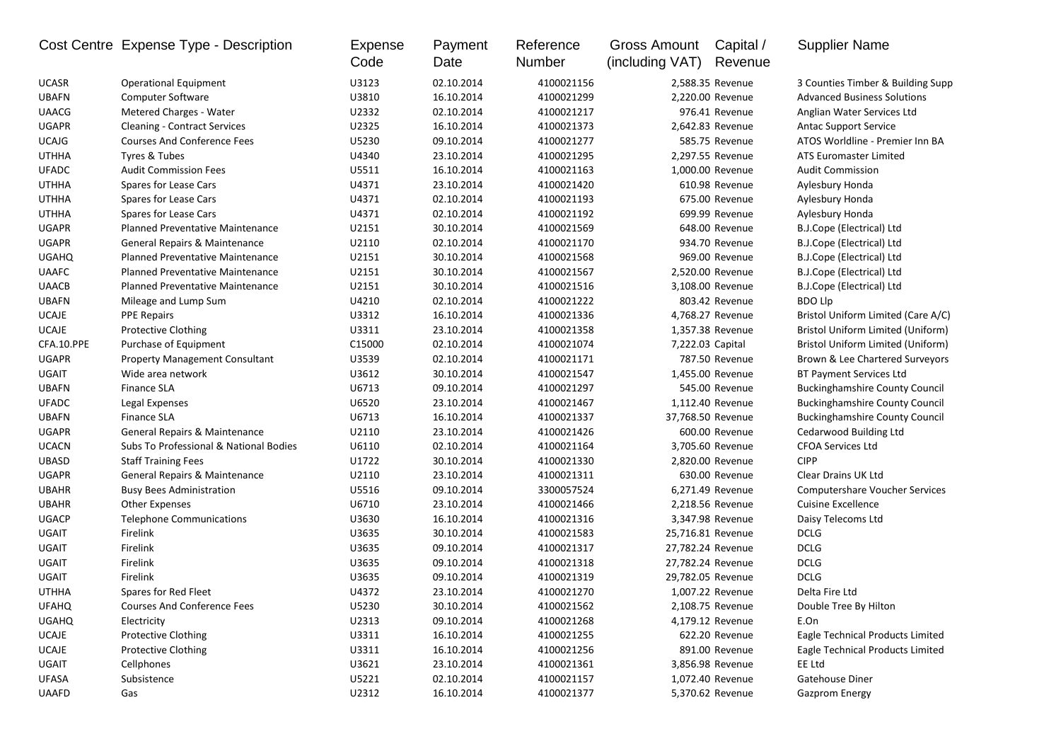|              | Cost Centre Expense Type - Description  | Expense<br>Code | Payment<br>Date | Reference<br>Number | <b>Gross Amount</b><br>(including VAT) | Capital /<br>Revenue | <b>Supplier Name</b>                  |
|--------------|-----------------------------------------|-----------------|-----------------|---------------------|----------------------------------------|----------------------|---------------------------------------|
| <b>UCASR</b> | <b>Operational Equipment</b>            | U3123           | 02.10.2014      | 4100021156          |                                        | 2,588.35 Revenue     | 3 Counties Timber & Building Supp     |
| <b>UBAFN</b> | <b>Computer Software</b>                | U3810           | 16.10.2014      | 4100021299          |                                        | 2,220.00 Revenue     | <b>Advanced Business Solutions</b>    |
| <b>UAACG</b> | Metered Charges - Water                 | U2332           | 02.10.2014      | 4100021217          |                                        | 976.41 Revenue       | Anglian Water Services Ltd            |
| <b>UGAPR</b> | <b>Cleaning - Contract Services</b>     | U2325           | 16.10.2014      | 4100021373          |                                        | 2,642.83 Revenue     | <b>Antac Support Service</b>          |
| <b>UCAJG</b> | <b>Courses And Conference Fees</b>      | U5230           | 09.10.2014      | 4100021277          |                                        | 585.75 Revenue       | ATOS Worldline - Premier Inn BA       |
| <b>UTHHA</b> | Tyres & Tubes                           | U4340           | 23.10.2014      | 4100021295          |                                        | 2,297.55 Revenue     | ATS Euromaster Limited                |
| <b>UFADC</b> | <b>Audit Commission Fees</b>            | U5511           | 16.10.2014      | 4100021163          |                                        | 1,000.00 Revenue     | <b>Audit Commission</b>               |
| <b>UTHHA</b> | Spares for Lease Cars                   | U4371           | 23.10.2014      | 4100021420          |                                        | 610.98 Revenue       | Aylesbury Honda                       |
| <b>UTHHA</b> | Spares for Lease Cars                   | U4371           | 02.10.2014      | 4100021193          |                                        | 675.00 Revenue       | Aylesbury Honda                       |
| <b>UTHHA</b> | Spares for Lease Cars                   | U4371           | 02.10.2014      | 4100021192          |                                        | 699.99 Revenue       | Aylesbury Honda                       |
| <b>UGAPR</b> | <b>Planned Preventative Maintenance</b> | U2151           | 30.10.2014      | 4100021569          |                                        | 648.00 Revenue       | B.J.Cope (Electrical) Ltd             |
| <b>UGAPR</b> | General Repairs & Maintenance           | U2110           | 02.10.2014      | 4100021170          |                                        | 934.70 Revenue       | B.J.Cope (Electrical) Ltd             |
| <b>UGAHQ</b> | <b>Planned Preventative Maintenance</b> | U2151           | 30.10.2014      | 4100021568          |                                        | 969.00 Revenue       | B.J.Cope (Electrical) Ltd             |
| <b>UAAFC</b> | <b>Planned Preventative Maintenance</b> | U2151           | 30.10.2014      | 4100021567          |                                        | 2,520.00 Revenue     | B.J.Cope (Electrical) Ltd             |
| <b>UAACB</b> | <b>Planned Preventative Maintenance</b> | U2151           | 30.10.2014      | 4100021516          |                                        | 3,108.00 Revenue     | B.J.Cope (Electrical) Ltd             |
| <b>UBAFN</b> | Mileage and Lump Sum                    | U4210           | 02.10.2014      | 4100021222          |                                        | 803.42 Revenue       | <b>BDO Llp</b>                        |
| <b>UCAJE</b> | <b>PPE Repairs</b>                      | U3312           | 16.10.2014      | 4100021336          |                                        | 4,768.27 Revenue     | Bristol Uniform Limited (Care A/C)    |
| <b>UCAJE</b> | <b>Protective Clothing</b>              | U3311           | 23.10.2014      | 4100021358          |                                        | 1,357.38 Revenue     | Bristol Uniform Limited (Uniform)     |
| CFA.10.PPE   | Purchase of Equipment                   | C15000          | 02.10.2014      | 4100021074          | 7,222.03 Capital                       |                      | Bristol Uniform Limited (Uniform)     |
| <b>UGAPR</b> | <b>Property Management Consultant</b>   | U3539           | 02.10.2014      | 4100021171          |                                        | 787.50 Revenue       | Brown & Lee Chartered Surveyors       |
| <b>UGAIT</b> | Wide area network                       | U3612           | 30.10.2014      | 4100021547          |                                        | 1,455.00 Revenue     | <b>BT Payment Services Ltd</b>        |
| <b>UBAFN</b> | <b>Finance SLA</b>                      | U6713           | 09.10.2014      | 4100021297          |                                        | 545.00 Revenue       | <b>Buckinghamshire County Council</b> |
| <b>UFADC</b> | Legal Expenses                          | U6520           | 23.10.2014      | 4100021467          |                                        | 1,112.40 Revenue     | <b>Buckinghamshire County Council</b> |
| <b>UBAFN</b> | <b>Finance SLA</b>                      | U6713           | 16.10.2014      | 4100021337          |                                        | 37,768.50 Revenue    | <b>Buckinghamshire County Council</b> |
| <b>UGAPR</b> | General Repairs & Maintenance           | U2110           | 23.10.2014      | 4100021426          |                                        | 600.00 Revenue       | Cedarwood Building Ltd                |
| <b>UCACN</b> | Subs To Professional & National Bodies  | U6110           | 02.10.2014      | 4100021164          |                                        | 3,705.60 Revenue     | <b>CFOA Services Ltd</b>              |
| <b>UBASD</b> | <b>Staff Training Fees</b>              | U1722           | 30.10.2014      | 4100021330          |                                        | 2,820.00 Revenue     | <b>CIPP</b>                           |
| <b>UGAPR</b> | General Repairs & Maintenance           | U2110           | 23.10.2014      | 4100021311          |                                        | 630.00 Revenue       | Clear Drains UK Ltd                   |
| <b>UBAHR</b> | <b>Busy Bees Administration</b>         | U5516           | 09.10.2014      | 3300057524          |                                        | 6,271.49 Revenue     | <b>Computershare Voucher Services</b> |
| <b>UBAHR</b> | <b>Other Expenses</b>                   | U6710           | 23.10.2014      | 4100021466          |                                        | 2,218.56 Revenue     | <b>Cuisine Excellence</b>             |
| <b>UGACP</b> | <b>Telephone Communications</b>         | U3630           | 16.10.2014      | 4100021316          |                                        | 3,347.98 Revenue     | Daisy Telecoms Ltd                    |
| <b>UGAIT</b> | Firelink                                | U3635           | 30.10.2014      | 4100021583          |                                        | 25,716.81 Revenue    | <b>DCLG</b>                           |
| UGAIT        | Firelink                                | U3635           | 09.10.2014      | 4100021317          |                                        | 27,782.24 Revenue    | <b>DCLG</b>                           |
| UGAIT        | Firelink                                | U3635           | 09.10.2014      | 4100021318          |                                        | 27,782.24 Revenue    | <b>DCLG</b>                           |
| UGAIT        | Firelink                                | U3635           | 09.10.2014      | 4100021319          |                                        | 29,782.05 Revenue    | <b>DCLG</b>                           |
| <b>UTHHA</b> | Spares for Red Fleet                    | U4372           | 23.10.2014      | 4100021270          |                                        | 1,007.22 Revenue     | Delta Fire Ltd                        |
| <b>UFAHQ</b> | <b>Courses And Conference Fees</b>      | U5230           | 30.10.2014      | 4100021562          |                                        | 2,108.75 Revenue     | Double Tree By Hilton                 |
| <b>UGAHQ</b> | Electricity                             | U2313           | 09.10.2014      | 4100021268          |                                        | 4,179.12 Revenue     | E.On                                  |
| UCAJE        | <b>Protective Clothing</b>              | U3311           | 16.10.2014      | 4100021255          |                                        | 622.20 Revenue       | Eagle Technical Products Limited      |
| <b>UCAJE</b> | <b>Protective Clothing</b>              | U3311           | 16.10.2014      | 4100021256          |                                        | 891.00 Revenue       | Eagle Technical Products Limited      |
| UGAIT        | Cellphones                              | U3621           | 23.10.2014      | 4100021361          |                                        | 3,856.98 Revenue     | EE Ltd                                |
| <b>UFASA</b> | Subsistence                             | U5221           | 02.10.2014      | 4100021157          |                                        | 1,072.40 Revenue     | Gatehouse Diner                       |
| <b>UAAFD</b> | Gas                                     | U2312           | 16.10.2014      | 4100021377          |                                        | 5,370.62 Revenue     | Gazprom Energy                        |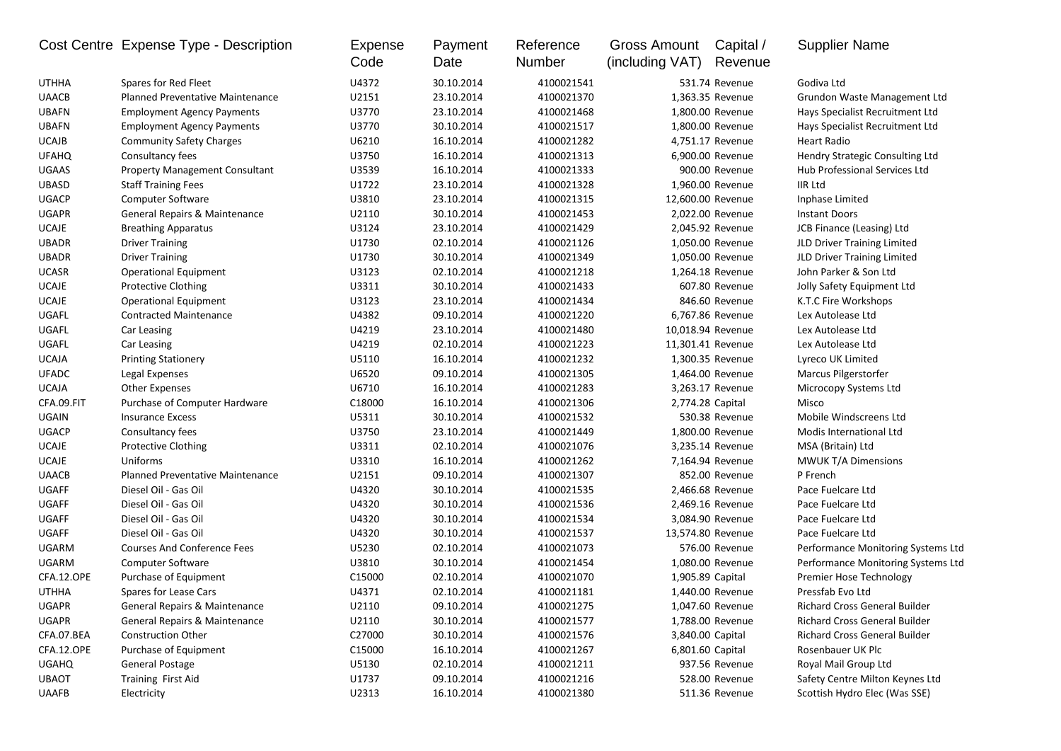|              | Cost Centre Expense Type - Description  | <b>Expense</b><br>Code | Payment<br>Date | Reference<br>Number | <b>Gross Amount</b><br>(including VAT) | Capital /<br>Revenue | <b>Supplier Name</b>               |
|--------------|-----------------------------------------|------------------------|-----------------|---------------------|----------------------------------------|----------------------|------------------------------------|
| <b>UTHHA</b> | Spares for Red Fleet                    | U4372                  | 30.10.2014      | 4100021541          |                                        | 531.74 Revenue       | Godiva Ltd                         |
| <b>UAACB</b> | <b>Planned Preventative Maintenance</b> | U2151                  | 23.10.2014      | 4100021370          |                                        | 1,363.35 Revenue     | Grundon Waste Management Ltd       |
| <b>UBAFN</b> | <b>Employment Agency Payments</b>       | U3770                  | 23.10.2014      | 4100021468          |                                        | 1,800.00 Revenue     | Hays Specialist Recruitment Ltd    |
| <b>UBAFN</b> | <b>Employment Agency Payments</b>       | U3770                  | 30.10.2014      | 4100021517          |                                        | 1,800.00 Revenue     | Hays Specialist Recruitment Ltd    |
| <b>UCAJB</b> | <b>Community Safety Charges</b>         | U6210                  | 16.10.2014      | 4100021282          |                                        | 4,751.17 Revenue     | Heart Radio                        |
| <b>UFAHQ</b> | Consultancy fees                        | U3750                  | 16.10.2014      | 4100021313          |                                        | 6,900.00 Revenue     | Hendry Strategic Consulting Ltd    |
| <b>UGAAS</b> | <b>Property Management Consultant</b>   | U3539                  | 16.10.2014      | 4100021333          |                                        | 900.00 Revenue       | Hub Professional Services Ltd      |
| <b>UBASD</b> | <b>Staff Training Fees</b>              | U1722                  | 23.10.2014      | 4100021328          |                                        | 1,960.00 Revenue     | <b>IIR Ltd</b>                     |
| <b>UGACP</b> | <b>Computer Software</b>                | U3810                  | 23.10.2014      | 4100021315          |                                        | 12,600.00 Revenue    | Inphase Limited                    |
| <b>UGAPR</b> | General Repairs & Maintenance           | U2110                  | 30.10.2014      | 4100021453          |                                        | 2,022.00 Revenue     | <b>Instant Doors</b>               |
| <b>UCAJE</b> | <b>Breathing Apparatus</b>              | U3124                  | 23.10.2014      | 4100021429          |                                        | 2,045.92 Revenue     | JCB Finance (Leasing) Ltd          |
| <b>UBADR</b> | <b>Driver Training</b>                  | U1730                  | 02.10.2014      | 4100021126          |                                        | 1,050.00 Revenue     | JLD Driver Training Limited        |
| <b>UBADR</b> | <b>Driver Training</b>                  | U1730                  | 30.10.2014      | 4100021349          |                                        | 1,050.00 Revenue     | JLD Driver Training Limited        |
| <b>UCASR</b> | <b>Operational Equipment</b>            | U3123                  | 02.10.2014      | 4100021218          |                                        | 1,264.18 Revenue     | John Parker & Son Ltd              |
| <b>UCAJE</b> | <b>Protective Clothing</b>              | U3311                  | 30.10.2014      | 4100021433          |                                        | 607.80 Revenue       | Jolly Safety Equipment Ltd         |
| <b>UCAJE</b> | <b>Operational Equipment</b>            | U3123                  | 23.10.2014      | 4100021434          |                                        | 846.60 Revenue       | K.T.C Fire Workshops               |
| UGAFL        | <b>Contracted Maintenance</b>           | U4382                  | 09.10.2014      | 4100021220          |                                        | 6,767.86 Revenue     | Lex Autolease Ltd                  |
| UGAFL        | Car Leasing                             | U4219                  | 23.10.2014      | 4100021480          |                                        | 10,018.94 Revenue    | Lex Autolease Ltd                  |
| UGAFL        | Car Leasing                             | U4219                  | 02.10.2014      | 4100021223          |                                        | 11,301.41 Revenue    | Lex Autolease Ltd                  |
| <b>UCAJA</b> | <b>Printing Stationery</b>              | U5110                  | 16.10.2014      | 4100021232          |                                        | 1,300.35 Revenue     | Lyreco UK Limited                  |
| <b>UFADC</b> | Legal Expenses                          | U6520                  | 09.10.2014      | 4100021305          |                                        | 1,464.00 Revenue     | Marcus Pilgerstorfer               |
| <b>UCAJA</b> | <b>Other Expenses</b>                   | U6710                  | 16.10.2014      | 4100021283          |                                        | 3,263.17 Revenue     | Microcopy Systems Ltd              |
| CFA.09.FIT   | Purchase of Computer Hardware           | C18000                 | 16.10.2014      | 4100021306          |                                        | 2,774.28 Capital     | Misco                              |
| UGAIN        | <b>Insurance Excess</b>                 | U5311                  | 30.10.2014      | 4100021532          |                                        | 530.38 Revenue       | Mobile Windscreens Ltd             |
| <b>UGACP</b> | Consultancy fees                        | U3750                  | 23.10.2014      | 4100021449          |                                        | 1,800.00 Revenue     | Modis International Ltd            |
| <b>UCAJE</b> | <b>Protective Clothing</b>              | U3311                  | 02.10.2014      | 4100021076          |                                        | 3,235.14 Revenue     | MSA (Britain) Ltd                  |
| <b>UCAJE</b> | Uniforms                                | U3310                  | 16.10.2014      | 4100021262          |                                        | 7,164.94 Revenue     | <b>MWUK T/A Dimensions</b>         |
| <b>UAACB</b> | <b>Planned Preventative Maintenance</b> | U2151                  | 09.10.2014      | 4100021307          |                                        | 852.00 Revenue       | P French                           |
| <b>UGAFF</b> | Diesel Oil - Gas Oil                    | U4320                  | 30.10.2014      | 4100021535          |                                        | 2,466.68 Revenue     | Pace Fuelcare Ltd                  |
| <b>UGAFF</b> | Diesel Oil - Gas Oil                    | U4320                  | 30.10.2014      | 4100021536          |                                        | 2,469.16 Revenue     | Pace Fuelcare Ltd                  |
| <b>UGAFF</b> | Diesel Oil - Gas Oil                    | U4320                  | 30.10.2014      | 4100021534          |                                        | 3,084.90 Revenue     | Pace Fuelcare Ltd                  |
| <b>UGAFF</b> | Diesel Oil - Gas Oil                    | U4320                  | 30.10.2014      | 4100021537          |                                        | 13,574.80 Revenue    | Pace Fuelcare Ltd                  |
| UGARM        | <b>Courses And Conference Fees</b>      | U5230                  | 02.10.2014      | 4100021073          |                                        | 576.00 Revenue       | Performance Monitoring Systems Ltd |
| <b>UGARM</b> | Computer Software                       | U3810                  | 30.10.2014      | 4100021454          |                                        | 1,080.00 Revenue     | Performance Monitoring Systems Ltd |
| CFA.12.OPE   | Purchase of Equipment                   | C15000                 | 02.10.2014      | 4100021070          |                                        | 1,905.89 Capital     | Premier Hose Technology            |
| <b>UTHHA</b> | Spares for Lease Cars                   | U4371                  | 02.10.2014      | 4100021181          |                                        | 1,440.00 Revenue     | Pressfab Evo Ltd                   |
| UGAPR        | General Repairs & Maintenance           | U2110                  | 09.10.2014      | 4100021275          |                                        | 1,047.60 Revenue     | Richard Cross General Builder      |
| UGAPR        | General Repairs & Maintenance           | U2110                  | 30.10.2014      | 4100021577          |                                        | 1,788.00 Revenue     | Richard Cross General Builder      |
| CFA.07.BEA   | <b>Construction Other</b>               | C27000                 | 30.10.2014      | 4100021576          |                                        | 3,840.00 Capital     | Richard Cross General Builder      |
| CFA.12.OPE   | Purchase of Equipment                   | C15000                 | 16.10.2014      | 4100021267          |                                        | 6,801.60 Capital     | Rosenbauer UK Plc                  |
| <b>UGAHQ</b> | <b>General Postage</b>                  | U5130                  | 02.10.2014      | 4100021211          |                                        | 937.56 Revenue       | Royal Mail Group Ltd               |
| <b>UBAOT</b> | Training First Aid                      | U1737                  | 09.10.2014      | 4100021216          |                                        | 528.00 Revenue       | Safety Centre Milton Keynes Ltd    |
| UAAFB        | Electricity                             | U2313                  | 16.10.2014      | 4100021380          |                                        | 511.36 Revenue       | Scottish Hydro Elec (Was SSE)      |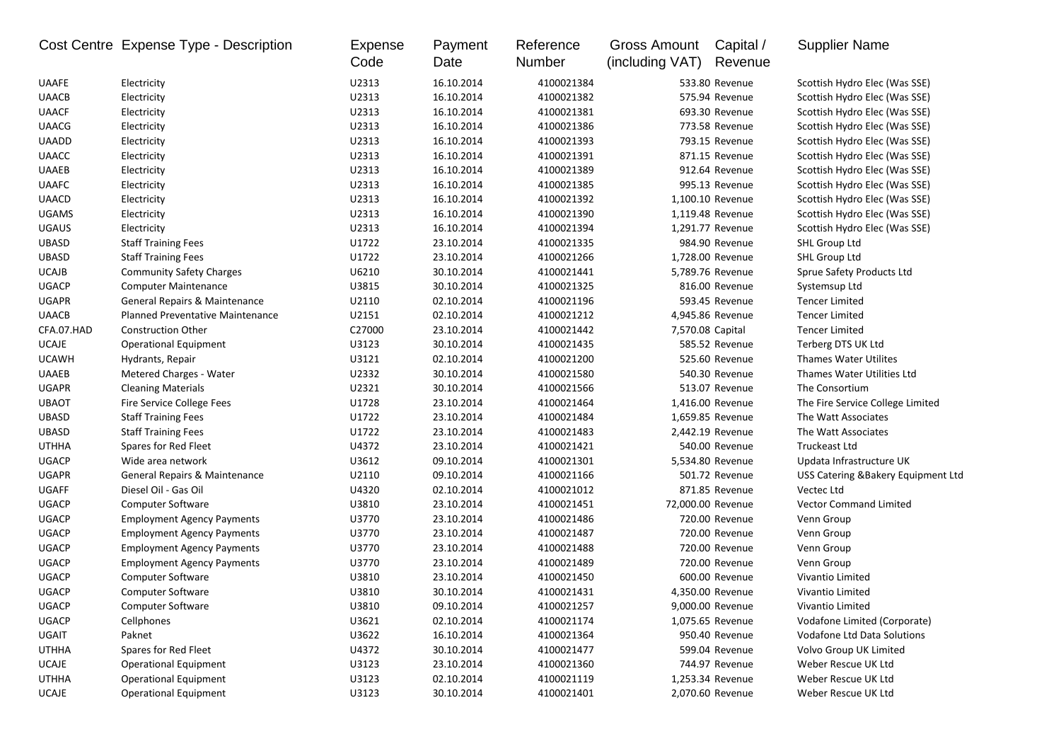|              | Cost Centre Expense Type - Description | Expense<br>Code | Payment<br>Date | Reference<br>Number | <b>Gross Amount</b><br>(including VAT) | Capital /<br>Revenue | <b>Supplier Name</b>                |
|--------------|----------------------------------------|-----------------|-----------------|---------------------|----------------------------------------|----------------------|-------------------------------------|
| <b>UAAFE</b> | Electricity                            | U2313           | 16.10.2014      | 4100021384          |                                        | 533.80 Revenue       | Scottish Hydro Elec (Was SSE)       |
| <b>UAACB</b> | Electricity                            | U2313           | 16.10.2014      | 4100021382          |                                        | 575.94 Revenue       | Scottish Hydro Elec (Was SSE)       |
| <b>UAACF</b> | Electricity                            | U2313           | 16.10.2014      | 4100021381          |                                        | 693.30 Revenue       | Scottish Hydro Elec (Was SSE)       |
| <b>UAACG</b> | Electricity                            | U2313           | 16.10.2014      | 4100021386          |                                        | 773.58 Revenue       | Scottish Hydro Elec (Was SSE)       |
| <b>UAADD</b> | Electricity                            | U2313           | 16.10.2014      | 4100021393          |                                        | 793.15 Revenue       | Scottish Hydro Elec (Was SSE)       |
| <b>UAACC</b> | Electricity                            | U2313           | 16.10.2014      | 4100021391          |                                        | 871.15 Revenue       | Scottish Hydro Elec (Was SSE)       |
| <b>UAAEB</b> | Electricity                            | U2313           | 16.10.2014      | 4100021389          |                                        | 912.64 Revenue       | Scottish Hydro Elec (Was SSE)       |
| <b>UAAFC</b> | Electricity                            | U2313           | 16.10.2014      | 4100021385          |                                        | 995.13 Revenue       | Scottish Hydro Elec (Was SSE)       |
| <b>UAACD</b> | Electricity                            | U2313           | 16.10.2014      | 4100021392          |                                        | 1,100.10 Revenue     | Scottish Hydro Elec (Was SSE)       |
| <b>UGAMS</b> | Electricity                            | U2313           | 16.10.2014      | 4100021390          |                                        | 1,119.48 Revenue     | Scottish Hydro Elec (Was SSE)       |
| <b>UGAUS</b> | Electricity                            | U2313           | 16.10.2014      | 4100021394          |                                        | 1,291.77 Revenue     | Scottish Hydro Elec (Was SSE)       |
| <b>UBASD</b> | <b>Staff Training Fees</b>             | U1722           | 23.10.2014      | 4100021335          |                                        | 984.90 Revenue       | SHL Group Ltd                       |
| <b>UBASD</b> | <b>Staff Training Fees</b>             | U1722           | 23.10.2014      | 4100021266          |                                        | 1,728.00 Revenue     | SHL Group Ltd                       |
| <b>UCAJB</b> | <b>Community Safety Charges</b>        | U6210           | 30.10.2014      | 4100021441          |                                        | 5,789.76 Revenue     | Sprue Safety Products Ltd           |
| <b>UGACP</b> | <b>Computer Maintenance</b>            | U3815           | 30.10.2014      | 4100021325          |                                        | 816.00 Revenue       | Systemsup Ltd                       |
| <b>UGAPR</b> | General Repairs & Maintenance          | U2110           | 02.10.2014      | 4100021196          |                                        | 593.45 Revenue       | <b>Tencer Limited</b>               |
| <b>UAACB</b> | Planned Preventative Maintenance       | U2151           | 02.10.2014      | 4100021212          |                                        | 4,945.86 Revenue     | <b>Tencer Limited</b>               |
| CFA.07.HAD   | <b>Construction Other</b>              | C27000          | 23.10.2014      | 4100021442          |                                        | 7,570.08 Capital     | <b>Tencer Limited</b>               |
| <b>UCAJE</b> | <b>Operational Equipment</b>           | U3123           | 30.10.2014      | 4100021435          |                                        | 585.52 Revenue       | Terberg DTS UK Ltd                  |
| <b>UCAWH</b> | Hydrants, Repair                       | U3121           | 02.10.2014      | 4100021200          |                                        | 525.60 Revenue       | <b>Thames Water Utilites</b>        |
| <b>UAAEB</b> | Metered Charges - Water                | U2332           | 30.10.2014      | 4100021580          |                                        | 540.30 Revenue       | Thames Water Utilities Ltd          |
| <b>UGAPR</b> | <b>Cleaning Materials</b>              | U2321           | 30.10.2014      | 4100021566          |                                        | 513.07 Revenue       | The Consortium                      |
| <b>UBAOT</b> | Fire Service College Fees              | U1728           | 23.10.2014      | 4100021464          |                                        | 1,416.00 Revenue     | The Fire Service College Limited    |
| <b>UBASD</b> | <b>Staff Training Fees</b>             | U1722           | 23.10.2014      | 4100021484          |                                        | 1,659.85 Revenue     | The Watt Associates                 |
| <b>UBASD</b> | <b>Staff Training Fees</b>             | U1722           | 23.10.2014      | 4100021483          |                                        | 2,442.19 Revenue     | The Watt Associates                 |
| <b>UTHHA</b> | Spares for Red Fleet                   | U4372           | 23.10.2014      | 4100021421          |                                        | 540.00 Revenue       | <b>Truckeast Ltd</b>                |
| <b>UGACP</b> | Wide area network                      | U3612           | 09.10.2014      | 4100021301          |                                        | 5,534.80 Revenue     | Updata Infrastructure UK            |
| <b>UGAPR</b> | General Repairs & Maintenance          | U2110           | 09.10.2014      | 4100021166          |                                        | 501.72 Revenue       | USS Catering & Bakery Equipment Ltd |
| <b>UGAFF</b> | Diesel Oil - Gas Oil                   | U4320           | 02.10.2014      | 4100021012          |                                        | 871.85 Revenue       | Vectec Ltd                          |
| <b>UGACP</b> | <b>Computer Software</b>               | U3810           | 23.10.2014      | 4100021451          |                                        | 72,000.00 Revenue    | <b>Vector Command Limited</b>       |
| <b>UGACP</b> | <b>Employment Agency Payments</b>      | U3770           | 23.10.2014      | 4100021486          |                                        | 720.00 Revenue       | Venn Group                          |
| <b>UGACP</b> | <b>Employment Agency Payments</b>      | U3770           | 23.10.2014      | 4100021487          |                                        | 720.00 Revenue       | Venn Group                          |
| <b>UGACP</b> | <b>Employment Agency Payments</b>      | U3770           | 23.10.2014      | 4100021488          |                                        | 720.00 Revenue       | Venn Group                          |
| <b>UGACP</b> | <b>Employment Agency Payments</b>      | U3770           | 23.10.2014      | 4100021489          |                                        | 720.00 Revenue       | Venn Group                          |
| <b>UGACP</b> | Computer Software                      | U3810           | 23.10.2014      | 4100021450          |                                        | 600.00 Revenue       | Vivantio Limited                    |
| <b>UGACP</b> | <b>Computer Software</b>               | U3810           | 30.10.2014      | 4100021431          |                                        | 4,350.00 Revenue     | Vivantio Limited                    |
| <b>UGACP</b> | <b>Computer Software</b>               | U3810           | 09.10.2014      | 4100021257          |                                        | 9,000.00 Revenue     | Vivantio Limited                    |
| <b>UGACP</b> | Cellphones                             | U3621           | 02.10.2014      | 4100021174          |                                        | 1,075.65 Revenue     | Vodafone Limited (Corporate)        |
| UGAIT        | Paknet                                 | U3622           | 16.10.2014      | 4100021364          |                                        | 950.40 Revenue       | Vodafone Ltd Data Solutions         |
| <b>UTHHA</b> | Spares for Red Fleet                   | U4372           | 30.10.2014      | 4100021477          |                                        | 599.04 Revenue       | Volvo Group UK Limited              |
| UCAJE        | <b>Operational Equipment</b>           | U3123           | 23.10.2014      | 4100021360          |                                        | 744.97 Revenue       | Weber Rescue UK Ltd                 |
| <b>UTHHA</b> | <b>Operational Equipment</b>           | U3123           | 02.10.2014      | 4100021119          |                                        | 1,253.34 Revenue     | Weber Rescue UK Ltd                 |
| <b>UCAJE</b> | <b>Operational Equipment</b>           | U3123           | 30.10.2014      | 4100021401          |                                        | 2,070.60 Revenue     | Weber Rescue UK Ltd                 |
|              |                                        |                 |                 |                     |                                        |                      |                                     |